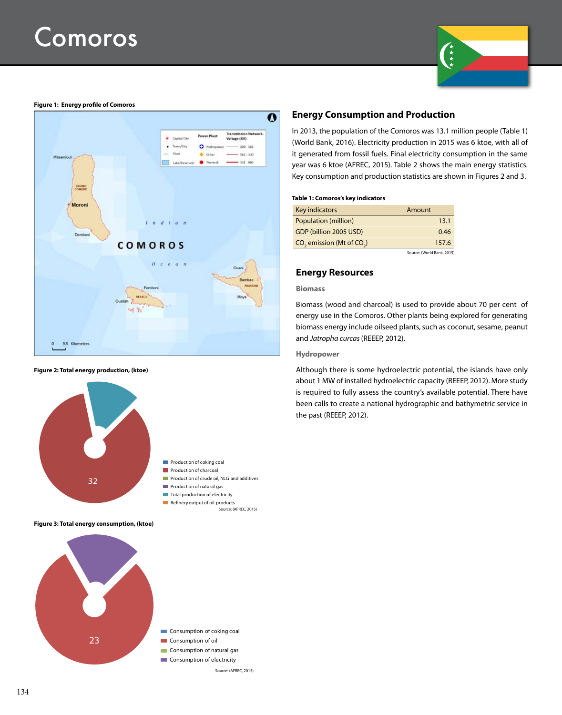

### **Figure 1: Energy profile of Comoros**



#### **Figure 2: Total energy production, (ktoe)**



**Figure 3: Total energy consumption, (ktoe)**



## **Energy Consumption and Production**

In 2013, the population of the Comoros was 13.1 million people (Table 1) (World Bank, 2016). Electricity production in 2015 was 6 ktoe, with all of it generated from fossil fuels. Final electricity consumption in the same year was 6 ktoe (AFREC, 2015). Table 2 shows the main energy statistics. Key consumption and production statistics are shown in Figures 2 and 3.

#### **Table 1: Comoros's key indicators**

| Key indicators                             | Amount |
|--------------------------------------------|--------|
| <b>Population (million)</b>                | 13.1   |
| GDP (billion 2005 USD)                     | 0.46   |
| $CO$ , emission (Mt of $CO$ <sub>,</sub> ) | 157.6  |
|                                            |        |

Source: (World Bank, 2015)

## **Energy Resources**

#### **Biomass**

Biomass (wood and charcoal) is used to provide about 70 per cent of energy use in the Comoros. Other plants being explored for generating biomass energy include oilseed plants, such as coconut, sesame, peanut and *Jatropha curcas* (REEEP, 2012).

## **Hydropower**

Although there is some hydroelectric potential, the islands have only about 1 MW of installed hydroelectric capacity (REEEP, 2012). More study is required to fully assess the country's available potential. There have been calls to create a national hydrographic and bathymetric service in the past (REEEP, 2012).

- **Consumption of coking coal**
- Consumption of oil
- **Consumption of natural gas**
- **Consumption of electricity**

Source: (AFREC, 2015)

Source: (AFREC, 2015)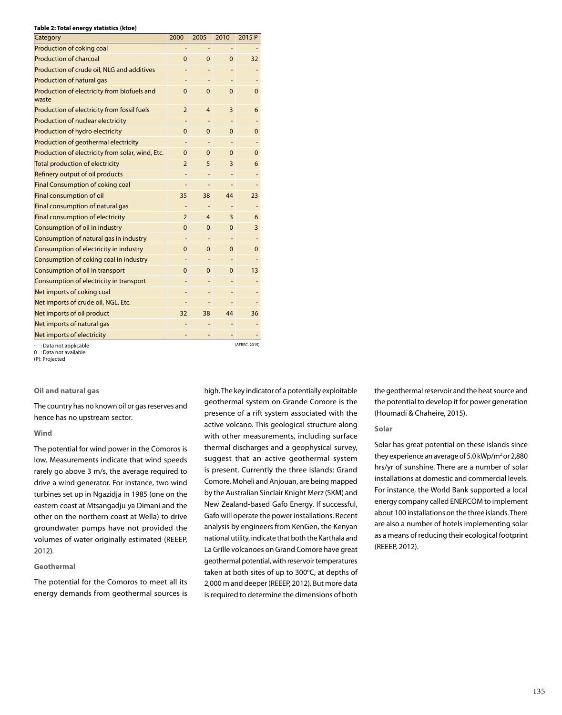#### **Table 2: Total energy statistics (ktoe)**

| 2000           | 2005           | 2010           | 2015 P      |
|----------------|----------------|----------------|-------------|
|                |                |                |             |
| $\overline{0}$ | $\mathbf{0}$   | $\overline{0}$ | 32          |
|                |                |                |             |
|                |                |                |             |
| 0              | $\mathbf 0$    | $\mathbf 0$    | 0           |
| $\overline{2}$ | $\overline{4}$ | 3              | 6           |
|                |                |                |             |
| 0              | 0              | $\mathbf 0$    | 0           |
|                | -              |                |             |
| $\Omega$       | $\Omega$       | $\Omega$       | 0           |
| 2              | 5              | 3              | 6           |
|                |                |                |             |
|                |                |                |             |
| 35             | 38             | 44             | 23          |
|                |                |                |             |
| $\overline{2}$ | $\overline{4}$ | 3              | 6           |
| $\Omega$       | 0              | $\mathbf 0$    | 3           |
|                |                |                |             |
| 0              | 0              | $\mathbf 0$    | $\mathbf 0$ |
|                | ٠              |                |             |
| $\Omega$       | $\Omega$       | $\Omega$       | 13          |
|                |                |                |             |
|                |                |                |             |
|                |                |                |             |
| 32             | 38             | 44             | 36          |
|                |                |                |             |
|                |                |                |             |
|                |                |                |             |

- : Data not applicable 0 : Data not available

(P): Projected

#### **Oil and natural gas**

The country has no known oil or gas reserves and hence has no upstream sector.

#### **Wind**

The potential for wind power in the Comoros is low. Measurements indicate that wind speeds rarely go above 3 m/s, the average required to drive a wind generator. For instance, two wind turbines set up in Ngazidja in 1985 (one on the eastern coast at Mtsangadju ya Dimani and the other on the northern coast at Wella) to drive groundwater pumps have not provided the volumes of water originally estimated (REEEP, 2012).

#### **Geothermal**

The potential for the Comoros to meet all its energy demands from geothermal sources is

high. The key indicator of a potentially exploitable geothermal system on Grande Comore is the presence of a rift system associated with the active volcano. This geological structure along with other measurements, including surface thermal discharges and a geophysical survey, suggest that an active geothermal system is present. Currently the three islands: Grand Comore, Moheli and Anjouan, are being mapped by the Australian Sinclair Knight Merz (SKM) and New Zealand-based Gafo Energy. If successful, Gafo will operate the power installations. Recent analysis by engineers from KenGen, the Kenyan national utility, indicate that both the Karthala and La Grille volcanoes on Grand Comore have great geothermal potential, with reservoir temperatures taken at both sites of up to  $300^{\circ}$ C, at depths of 2,000 m and deeper (REEEP, 2012). But more data is required to determine the dimensions of both

the geothermal reservoir and the heat source and the potential to develop it for power generation (Houmadi & Chaheire, 2015).

## **Solar**

Solar has great potential on these islands since they experience an average of 5.0 kWp/m<sup>2</sup> or 2,880 hrs/yr of sunshine. There are a number of solar installations at domestic and commercial levels. For instance, the World Bank supported a local energy company called ENERCOM to implement about 100 installations on the three islands. There are also a number of hotels implementing solar as a means of reducing their ecological footprint (REEEP, 2012).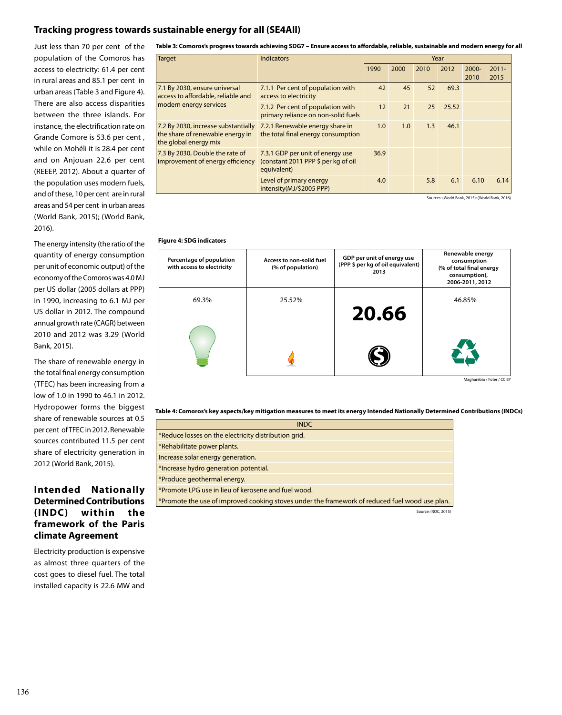# **Tracking progress towards sustainable energy for all (SE4All)**

Just less than 70 per cent of the population of the Comoros has access to electricity: 61.4 per cent in rural areas and 85.1 per cent in urban areas (Table 3 and Figure 4). There are also access disparities between the three islands. For instance, the electrification rate on Grande Comore is 53.6 per cent , while on Mohéli it is 28.4 per cent and on Anjouan 22.6 per cent (REEEP, 2012). About a quarter of the population uses modern fuels, and of these, 10 per cent are in rural areas and 54 per cent in urban areas (World Bank, 2015); (World Bank, 2016).

The energy intensity (the ratio of the quantity of energy consumption per unit of economic output) of the economy of the Comoros was 4.0 MJ per US dollar (2005 dollars at PPP) in 1990, increasing to 6.1 MJ per US dollar in 2012. The compound annual growth rate (CAGR) between 2010 and 2012 was 3.29 (World Bank, 2015).

The share of renewable energy in the total final energy consumption (TFEC) has been increasing from a low of 1.0 in 1990 to 46.1 in 2012. Hydropower forms the biggest share of renewable sources at 0.5 per cent of TFEC in 2012. Renewable sources contributed 11.5 per cent share of electricity generation in 2012 (World Bank, 2015).

# **Intended Nationally Determined Contributions (INDC) within the framework of the Paris climate Agreement**

Electricity production is expensive as almost three quarters of the cost goes to diesel fuel. The total installed capacity is 22.6 MW and

**Table 3: Comoros's progress towards achieving SDG7 – Ensure access to affordable, reliable, sustainable and modern energy for all**

| <b>Target</b>                                                                                    | <b>Indicators</b>                                                                      | Year |      |      |       |                  |                  |
|--------------------------------------------------------------------------------------------------|----------------------------------------------------------------------------------------|------|------|------|-------|------------------|------------------|
|                                                                                                  |                                                                                        | 1990 | 2000 | 2010 | 2012  | $2000 -$<br>2010 | $2011 -$<br>2015 |
| 7.1 By 2030, ensure universal<br>access to affordable, reliable and<br>modern energy services    | 7.1.1 Per cent of population with<br>access to electricity                             | 42   | 45   | 52   | 69.3  |                  |                  |
|                                                                                                  | 7.1.2 Per cent of population with<br>primary reliance on non-solid fuels               | 12   | 21   | 25   | 25.52 |                  |                  |
| 7.2 By 2030, increase substantially<br>the share of renewable energy in<br>the global energy mix | 7.2.1 Renewable energy share in<br>the total final energy consumption                  | 1.0  | 1.0  | 1.3  | 46.1  |                  |                  |
| 7.3 By 2030, Double the rate of<br>improvement of energy efficiency                              | 7.3.1 GDP per unit of energy use<br>(constant 2011 PPP \$ per kg of oil<br>equivalent) | 36.9 |      |      |       |                  |                  |
|                                                                                                  | Level of primary energy<br>intensity(MJ/\$2005 PPP)                                    | 4.0  |      | 5.8  | 6.1   | 6.10             | 6.14             |

urces: (World Bank, 2015); (World Bank, 2016)

### **Figure 4: SDG indicators**

| Percentage of population<br>with access to electricity | Access to non-solid fuel<br>(% of population) | GDP per unit of energy use<br>(PPP \$ per kg of oil equivalent)<br>2013 | Renewable energy<br>consumption<br>(% of total final energy<br>consumption),<br>2006-2011, 2012 |
|--------------------------------------------------------|-----------------------------------------------|-------------------------------------------------------------------------|-------------------------------------------------------------------------------------------------|
| 69.3%                                                  | 25.52%                                        | 20.66                                                                   | 46.85%                                                                                          |
|                                                        |                                               |                                                                         |                                                                                                 |

Magharebia / Foter / CC BY

#### **Table 4: Comoros's key aspects/key mitigation measures to meet its energy Intended Nationally Determined Contributions (INDCs)**

| <b>INDC</b>                                                                                    |
|------------------------------------------------------------------------------------------------|
| *Reduce losses on the electricity distribution grid.                                           |
| *Rehabilitate power plants.                                                                    |
| Increase solar energy generation.                                                              |
| *Increase hydro generation potential.                                                          |
| *Produce geothermal energy.                                                                    |
| *Promote LPG use in lieu of kerosene and fuel wood.                                            |
| *Promote the use of improved cooking stoves under the framework of reduced fuel wood use plan. |

Source: (ROC, 2015)